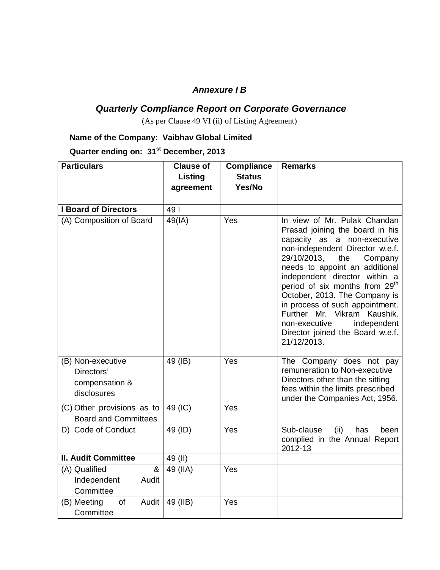#### *Annexure I B*

## *Quarterly Compliance Report on Corporate Governance*

(As per Clause 49 VI (ii) of Listing Agreement)

#### **Name of the Company: Vaibhav Global Limited**

**Quarter ending on: 31 st December, 2013**

| <b>Particulars</b>                                               | <b>Clause of</b> | <b>Compliance</b> | <b>Remarks</b>                                                                                                                                                                                                                                                                                                                                                                                                                                                               |
|------------------------------------------------------------------|------------------|-------------------|------------------------------------------------------------------------------------------------------------------------------------------------------------------------------------------------------------------------------------------------------------------------------------------------------------------------------------------------------------------------------------------------------------------------------------------------------------------------------|
|                                                                  | Listing          | <b>Status</b>     |                                                                                                                                                                                                                                                                                                                                                                                                                                                                              |
|                                                                  | agreement        | Yes/No            |                                                                                                                                                                                                                                                                                                                                                                                                                                                                              |
| <b>I Board of Directors</b>                                      | 491              |                   |                                                                                                                                                                                                                                                                                                                                                                                                                                                                              |
|                                                                  |                  |                   |                                                                                                                                                                                                                                                                                                                                                                                                                                                                              |
| (A) Composition of Board                                         | 49(IA)           | Yes               | In view of Mr. Pulak Chandan<br>Prasad joining the board in his<br>capacity as a non-executive<br>non-independent Director w.e.f.<br>29/10/2013,<br>the<br>Company<br>needs to appoint an additional<br>independent director within a<br>period of six months from 29 <sup>th</sup><br>October, 2013. The Company is<br>in process of such appointment.<br>Further Mr. Vikram<br>Kaushik,<br>non-executive<br>independent<br>Director joined the Board w.e.f.<br>21/12/2013. |
| (B) Non-executive<br>Directors'<br>compensation &<br>disclosures | 49 (IB)          | Yes               | The Company does not pay<br>remuneration to Non-executive<br>Directors other than the sitting<br>fees within the limits prescribed<br>under the Companies Act, 1956.                                                                                                                                                                                                                                                                                                         |
| (C) Other provisions as to<br><b>Board and Committees</b>        | 49 (IC)          | Yes               |                                                                                                                                                                                                                                                                                                                                                                                                                                                                              |
| D) Code of Conduct                                               | 49 (ID)          | Yes               | Sub-clause<br>(ii)<br>has<br>been<br>complied in the Annual Report<br>2012-13                                                                                                                                                                                                                                                                                                                                                                                                |
| <b>II. Audit Committee</b>                                       | 49 (II)          |                   |                                                                                                                                                                                                                                                                                                                                                                                                                                                                              |
| (A) Qualified<br>&                                               | 49 (IIA)         | Yes               |                                                                                                                                                                                                                                                                                                                                                                                                                                                                              |
| Independent<br>Audit<br>Committee                                |                  |                   |                                                                                                                                                                                                                                                                                                                                                                                                                                                                              |
| (B) Meeting<br>of<br>Audit  <br>Committee                        | 49 (IIB)         | Yes               |                                                                                                                                                                                                                                                                                                                                                                                                                                                                              |